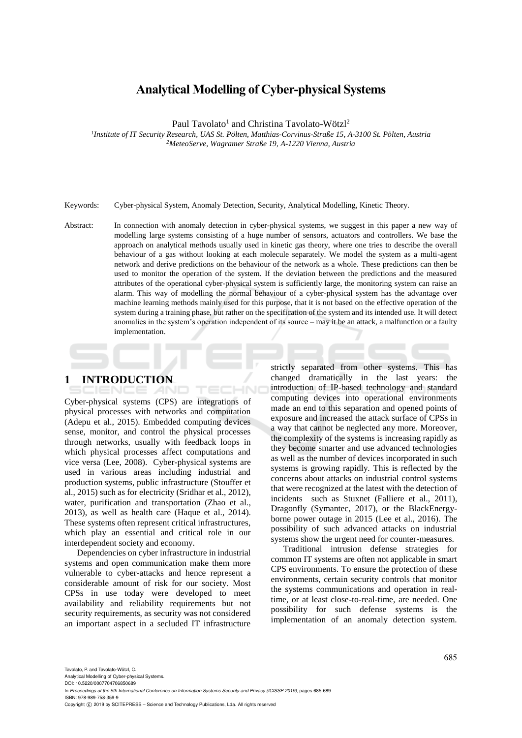# **Analytical Modelling of Cyber-physical Systems**

Paul Tavolato<sup>1</sup> and Christina Tavolato-Wötzl<sup>2</sup>

*1 Institute of IT Security Research, UAS St. Pölten, Matthias-Corvinus-Straße 15, A-3100 St. Pölten, Austria <sup>2</sup>MeteoServe, Wagramer Straße 19, A-1220 Vienna, Austria*

Keywords: Cyber-physical System, Anomaly Detection, Security, Analytical Modelling, Kinetic Theory.

Abstract: In connection with anomaly detection in cyber-physical systems, we suggest in this paper a new way of modelling large systems consisting of a huge number of sensors, actuators and controllers. We base the approach on analytical methods usually used in kinetic gas theory, where one tries to describe the overall behaviour of a gas without looking at each molecule separately. We model the system as a multi-agent network and derive predictions on the behaviour of the network as a whole. These predictions can then be used to monitor the operation of the system. If the deviation between the predictions and the measured attributes of the operational cyber-physical system is sufficiently large, the monitoring system can raise an alarm. This way of modelling the normal behaviour of a cyber-physical system has the advantage over machine learning methods mainly used for this purpose, that it is not based on the effective operation of the system during a training phase, but rather on the specification of the system and its intended use. It will detect anomalies in the system's operation independent of its source – may it be an attack, a malfunction or a faulty implementation.

HNO

## **1 INTRODUCTION**

Cyber-physical systems (CPS) are integrations of physical processes with networks and computation (Adepu et al., 2015). Embedded computing devices sense, monitor, and control the physical processes through networks, usually with feedback loops in which physical processes affect computations and vice versa (Lee, 2008). Cyber-physical systems are used in various areas including industrial and production systems, public infrastructure (Stouffer et al., 2015) such as for electricity (Sridhar et al., 2012), water, purification and transportation (Zhao et al., 2013), as well as health care (Haque et al., 2014). These systems often represent critical infrastructures, which play an essential and critical role in our interdependent society and economy.

Dependencies on cyber infrastructure in industrial systems and open communication make them more vulnerable to cyber-attacks and hence represent a considerable amount of risk for our society. Most CPSs in use today were developed to meet availability and reliability requirements but not security requirements, as security was not considered an important aspect in a secluded IT infrastructure

strictly separated from other systems. This has changed dramatically in the last years: the introduction of IP-based technology and standard computing devices into operational environments made an end to this separation and opened points of exposure and increased the attack surface of CPSs in a way that cannot be neglected any more. Moreover, the complexity of the systems is increasing rapidly as they become smarter and use advanced technologies as well as the number of devices incorporated in such systems is growing rapidly. This is reflected by the concerns about attacks on industrial control systems that were recognized at the latest with the detection of incidents such as Stuxnet (Falliere et al., 2011), Dragonfly (Symantec, 2017), or the BlackEnergyborne power outage in 2015 (Lee et al., 2016). The possibility of such advanced attacks on industrial systems show the urgent need for counter-measures.

Traditional intrusion defense strategies for common IT systems are often not applicable in smart CPS environments. To ensure the protection of these environments, certain security controls that monitor the systems communications and operation in realtime, or at least close-to-real-time, are needed. One possibility for such defense systems is the implementation of an anomaly detection system.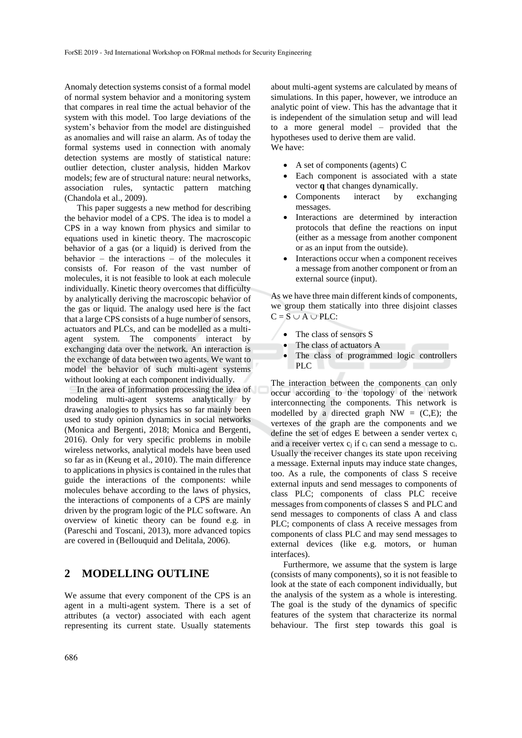Anomaly detection systems consist of a formal model of normal system behavior and a monitoring system that compares in real time the actual behavior of the system with this model. Too large deviations of the system's behavior from the model are distinguished as anomalies and will raise an alarm. As of today the formal systems used in connection with anomaly detection systems are mostly of statistical nature: outlier detection, cluster analysis, hidden Markov models; few are of structural nature: neural networks, association rules, syntactic pattern matching (Chandola et al., 2009).

This paper suggests a new method for describing the behavior model of a CPS. The idea is to model a CPS in a way known from physics and similar to equations used in kinetic theory. The macroscopic behavior of a gas (or a liquid) is derived from the behavior – the interactions – of the molecules it consists of. For reason of the vast number of molecules, it is not feasible to look at each molecule individually. Kinetic theory overcomes that difficulty by analytically deriving the macroscopic behavior of the gas or liquid. The analogy used here is the fact that a large CPS consists of a huge number of sensors, actuators and PLCs, and can be modelled as a multiagent system. The components interact by exchanging data over the network. An interaction is the exchange of data between two agents. We want to model the behavior of such multi-agent systems without looking at each component individually.

In the area of information processing the idea of modeling multi-agent systems analytically by drawing analogies to physics has so far mainly been used to study opinion dynamics in social networks (Monica and Bergenti, 2018; Monica and Bergenti, 2016). Only for very specific problems in mobile wireless networks, analytical models have been used so far as in (Keung et al., 2010). The main difference to applications in physics is contained in the rules that guide the interactions of the components: while molecules behave according to the laws of physics, the interactions of components of a CPS are mainly driven by the program logic of the PLC software. An overview of kinetic theory can be found e.g. in (Pareschi and Toscani, 2013), more advanced topics are covered in (Bellouquid and Delitala, 2006).

### **2 MODELLING OUTLINE**

We assume that every component of the CPS is an agent in a multi-agent system. There is a set of attributes (a vector) associated with each agent representing its current state. Usually statements

about multi-agent systems are calculated by means of simulations. In this paper, however, we introduce an analytic point of view. This has the advantage that it is independent of the simulation setup and will lead to a more general model – provided that the hypotheses used to derive them are valid. We have:

- A set of components (agents) C
- Each component is associated with a state vector **q** that changes dynamically.
- Components interact by exchanging messages.
- Interactions are determined by interaction protocols that define the reactions on input (either as a message from another component or as an input from the outside).
- Interactions occur when a component receives a message from another component or from an external source (input).

As we have three main different kinds of components, we group them statically into three disjoint classes  $C = S \cup A \cup PLC$ :

- The class of sensors S
- The class of actuators A
- The class of programmed logic controllers PLC **Definition**

The interaction between the components can only occur according to the topology of the network interconnecting the components. This network is modelled by a directed graph  $NW = (C,E)$ ; the vertexes of the graph are the components and we define the set of edges E between a sender vertex  $c_i$ and a receiver vertex  $c_i$  if  $c_i$  can send a message to  $c_i$ . Usually the receiver changes its state upon receiving a message. External inputs may induce state changes, too. As a rule, the components of class S receive external inputs and send messages to components of class PLC; components of class PLC receive messages from components of classes S and PLC and send messages to components of class A and class PLC; components of class A receive messages from components of class PLC and may send messages to external devices (like e.g. motors, or human interfaces).

Furthermore, we assume that the system is large (consists of many components), so it is not feasible to look at the state of each component individually, but the analysis of the system as a whole is interesting. The goal is the study of the dynamics of specific features of the system that characterize its normal behaviour. The first step towards this goal is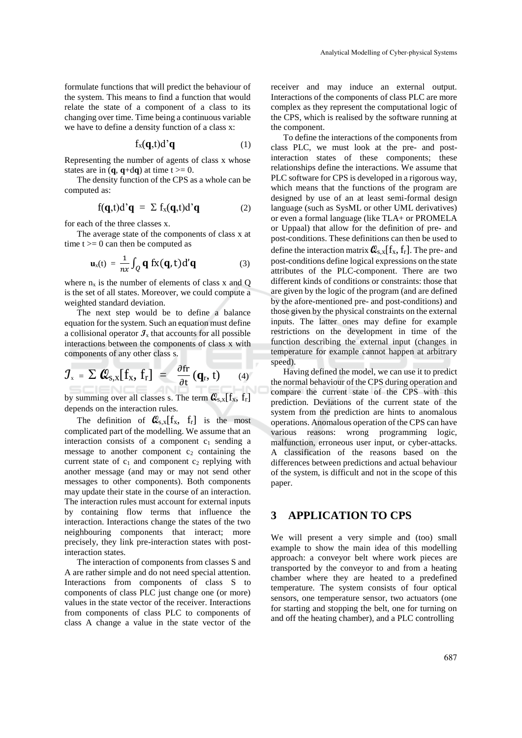formulate functions that will predict the behaviour of the system. This means to find a function that would relate the state of a component of a class to its changing over time. Time being a continuous variable we have to define a density function of a class x:

$$
f_x(\mathbf{q},t)d^{\prime}\mathbf{q} \tag{1}
$$

Representing the number of agents of class x whose states are in  $(\mathbf{q}, \mathbf{q} + d\mathbf{q})$  at time  $t \ge 0$ .

The density function of the CPS as a whole can be computed as:

$$
f(\mathbf{q},t)d\mathbf{q} = \sum f_x(\mathbf{q},t)d\mathbf{q} \qquad (2)
$$

for each of the three classes x.

The average state of the components of class x at time  $t \geq 0$  can then be computed as

$$
\mathbf{u}_{x}(t) = \frac{1}{nx} \int_{Q} \mathbf{q} f x(\mathbf{q}, t) d' \mathbf{q}
$$
 (3)

where  $n_x$  is the number of elements of class x and Q is the set of all states. Moreover, we could compute a weighted standard deviation.

The next step would be to define a balance equation for the system. Such an equation must define a collisional operator  $\mathcal{I}_x$  that accounts for all possible interactions between the components of class x with components of any other class s.

$$
\mathcal{J}_{x} = \sum \mathcal{Q}_{s,x}[f_{x}, f_{r}] = \frac{\partial f_{r}}{\partial t}(q_{r}, t) \qquad (4)
$$

by summing over all classes s. The term  $Q_{s,x}[f_x, f_r]$ depends on the interaction rules.

The definition of  $\mathcal{Q}_{s,x}[f_x, f_r]$  is the most complicated part of the modelling. We assume that an interaction consists of a component  $c_1$  sending a message to another component  $c_2$  containing the current state of  $c_1$  and component  $c_2$  replying with another message (and may or may not send other messages to other components). Both components may update their state in the course of an interaction. The interaction rules must account for external inputs by containing flow terms that influence the interaction. Interactions change the states of the two neighbouring components that interact; more precisely, they link pre-interaction states with postinteraction states.

The interaction of components from classes S and A are rather simple and do not need special attention. Interactions from components of class S to components of class PLC just change one (or more) values in the state vector of the receiver. Interactions from components of class PLC to components of class A change a value in the state vector of the

receiver and may induce an external output. Interactions of the components of class PLC are more complex as they represent the computational logic of the CPS, which is realised by the software running at the component.

To define the interactions of the components from class PLC, we must look at the pre- and postinteraction states of these components; these relationships define the interactions. We assume that PLC software for CPS is developed in a rigorous way, which means that the functions of the program are designed by use of an at least semi-formal design language (such as SysML or other UML derivatives) or even a formal language (like TLA+ or PROMELA or Uppaal) that allow for the definition of pre- and post-conditions. These definitions can then be used to define the interaction matrix  $\mathcal{Q}_{s,x}[f_x, f_r]$ . The pre- and post-conditions define logical expressions on the state attributes of the PLC-component. There are two different kinds of conditions or constraints: those that are given by the logic of the program (and are defined by the afore-mentioned pre- and post-conditions) and those given by the physical constraints on the external inputs. The latter ones may define for example restrictions on the development in time of the function describing the external input (changes in temperature for example cannot happen at arbitrary speed).

Having defined the model, we can use it to predict the normal behaviour of the CPS during operation and compare the current state of the CPS with this prediction. Deviations of the current state of the system from the prediction are hints to anomalous operations. Anomalous operation of the CPS can have various reasons: wrong programming logic, malfunction, erroneous user input, or cyber-attacks. A classification of the reasons based on the differences between predictions and actual behaviour of the system, is difficult and not in the scope of this paper.

### **3 APPLICATION TO CPS**

We will present a very simple and (too) small example to show the main idea of this modelling approach: a conveyor belt where work pieces are transported by the conveyor to and from a heating chamber where they are heated to a predefined temperature. The system consists of four optical sensors, one temperature sensor, two actuators (one for starting and stopping the belt, one for turning on and off the heating chamber), and a PLC controlling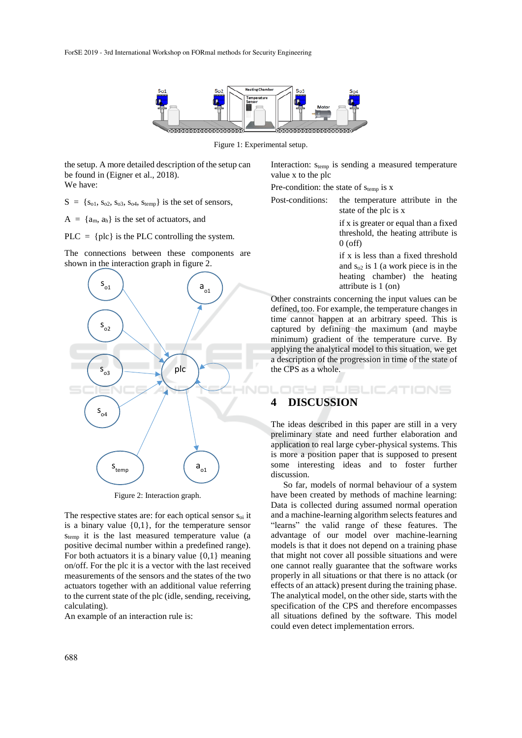

Figure 1: Experimental setup.

the setup. A more detailed description of the setup can be found in (Eigner et al., 2018). We have:

 $S = \{S_{01}, S_{02}, S_{03}, S_{04}, S_{temp}\}$  is the set of sensors,

 $A = \{a_m, a_h\}$  is the set of actuators, and

PLC =  ${plc}$  is the PLC controlling the system.

The connections between these components are shown in the interaction graph in figure 2.



Figure 2: Interaction graph.

The respective states are: for each optical sensor  $s_{oi}$  it is a binary value  $\{0,1\}$ , for the temperature sensor  $s_{temp}$  it is the last measured temperature value (a positive decimal number within a predefined range). For both actuators it is a binary value {0,1} meaning on/off. For the plc it is a vector with the last received measurements of the sensors and the states of the two actuators together with an additional value referring to the current state of the plc (idle, sending, receiving, calculating).

An example of an interaction rule is:

Interaction:  $s_{temp}$  is sending a measured temperature value x to the plc

Pre-condition: the state of  $s_{temp}$  is x

Post-conditions: the temperature attribute in the state of the plc is x

> if x is greater or equal than a fixed threshold, the heating attribute is 0 (off)

> if x is less than a fixed threshold and  $s_{02}$  is 1 (a work piece is in the heating chamber) the heating attribute is 1 (on)

Other constraints concerning the input values can be defined, too. For example, the temperature changes in time cannot happen at an arbitrary speed. This is captured by defining the maximum (and maybe minimum) gradient of the temperature curve. By applying the analytical model to this situation, we get a description of the progression in time of the state of the CPS as a whole.

**IGY PUBLICATIONS** 

## **4 DISCUSSION**

The ideas described in this paper are still in a very preliminary state and need further elaboration and application to real large cyber-physical systems. This is more a position paper that is supposed to present some interesting ideas and to foster further discussion.

So far, models of normal behaviour of a system have been created by methods of machine learning: Data is collected during assumed normal operation and a machine-learning algorithm selects features and "learns" the valid range of these features. The advantage of our model over machine-learning models is that it does not depend on a training phase that might not cover all possible situations and were one cannot really guarantee that the software works properly in all situations or that there is no attack (or effects of an attack) present during the training phase. The analytical model, on the other side, starts with the specification of the CPS and therefore encompasses all situations defined by the software. This model could even detect implementation errors.